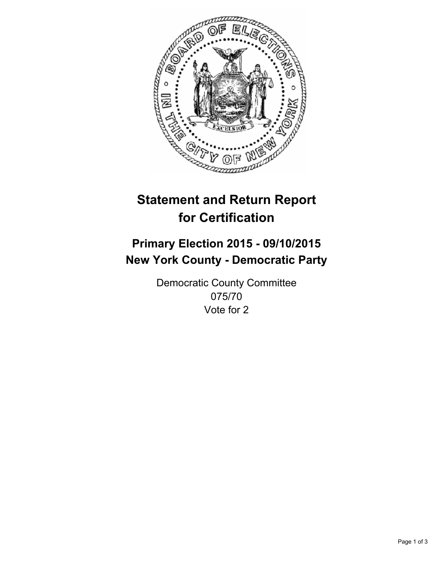

# **Statement and Return Report for Certification**

## **Primary Election 2015 - 09/10/2015 New York County - Democratic Party**

Democratic County Committee 075/70 Vote for 2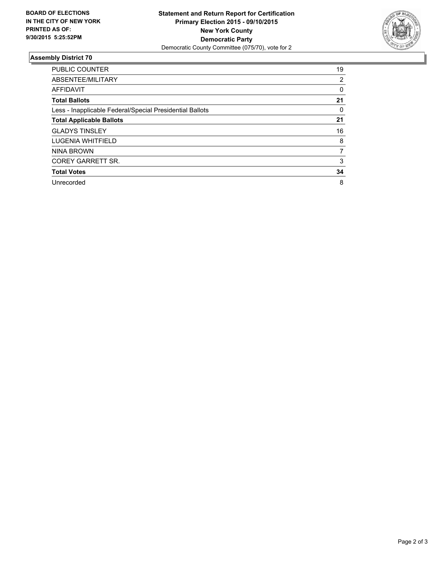

### **Assembly District 70**

| <b>PUBLIC COUNTER</b>                                    | 19 |
|----------------------------------------------------------|----|
| ABSENTEE/MILITARY                                        | 2  |
| <b>AFFIDAVIT</b>                                         | 0  |
| <b>Total Ballots</b>                                     | 21 |
| Less - Inapplicable Federal/Special Presidential Ballots | 0  |
| <b>Total Applicable Ballots</b>                          | 21 |
| <b>GLADYS TINSLEY</b>                                    | 16 |
| LUGENIA WHITFIELD                                        | 8  |
| NINA BROWN                                               | 7  |
| COREY GARRETT SR.                                        | 3  |
| <b>Total Votes</b>                                       | 34 |
| Unrecorded                                               | 8  |